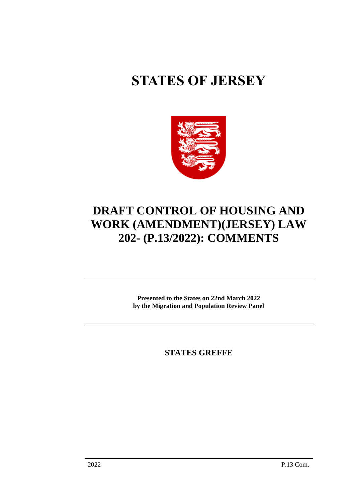# **STATES OF JERSEY**



# **DRAFT CONTROL OF HOUSING AND WORK (AMENDMENT)(JERSEY) LAW 202- (P.13/2022): COMMENTS**

**Presented to the States on 22nd March 2022 by the Migration and Population Review Panel**

**STATES GREFFE**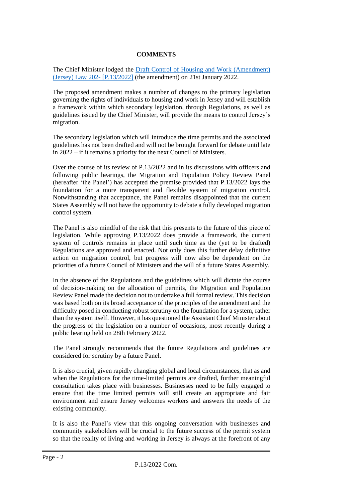# **COMMENTS**

The Chief Minister lodged the [Draft Control of Housing and Work \(Amendment\)](https://statesassembly.gov.je/AssemblyPropositions/2022/P.13-2022%20(re-issue).pdf)  [\(Jersey\) Law 202-](https://statesassembly.gov.je/AssemblyPropositions/2022/P.13-2022%20(re-issue).pdf) [P.13/2022] (the amendment) on 21st January 2022.

The proposed amendment makes a number of changes to the primary legislation governing the rights of individuals to housing and work in Jersey and will establish a framework within which secondary legislation, through Regulations, as well as guidelines issued by the Chief Minister, will provide the means to control Jersey's migration.

The secondary legislation which will introduce the time permits and the associated guidelines has not been drafted and will not be brought forward for debate until late in 2022 – if it remains a priority for the next Council of Ministers.

Over the course of its review of P.13/2022 and in its discussions with officers and following public hearings, the Migration and Population Policy Review Panel (hereafter 'the Panel') has accepted the premise provided that P.13/2022 lays the foundation for a more transparent and flexible system of migration control. Notwithstanding that acceptance, the Panel remains disappointed that the current States Assembly will not have the opportunity to debate a fully developed migration control system.

The Panel is also mindful of the risk that this presents to the future of this piece of legislation. While approving P.13/2022 does provide a framework, the current system of controls remains in place until such time as the (yet to be drafted) Regulations are approved and enacted. Not only does this further delay definitive action on migration control, but progress will now also be dependent on the priorities of a future Council of Ministers and the will of a future States Assembly.

In the absence of the Regulations and the guidelines which will dictate the course of decision-making on the allocation of permits, the Migration and Population Review Panel made the decision not to undertake a full formal review. This decision was based both on its broad acceptance of the principles of the amendment and the difficulty posed in conducting robust scrutiny on the foundation for a system, rather than the system itself. However, it has questioned the Assistant Chief Minister about the progress of the legislation on a number of occasions, most recently during a public hearing held on 28th February 2022.

The Panel strongly recommends that the future Regulations and guidelines are considered for scrutiny by a future Panel.

It is also crucial, given rapidly changing global and local circumstances, that as and when the Regulations for the time-limited permits are drafted, further meaningful consultation takes place with businesses. Businesses need to be fully engaged to ensure that the time limited permits will still create an appropriate and fair environment and ensure Jersey welcomes workers and answers the needs of the existing community.

It is also the Panel's view that this ongoing conversation with businesses and community stakeholders will be crucial to the future success of the permit system so that the reality of living and working in Jersey is always at the forefront of any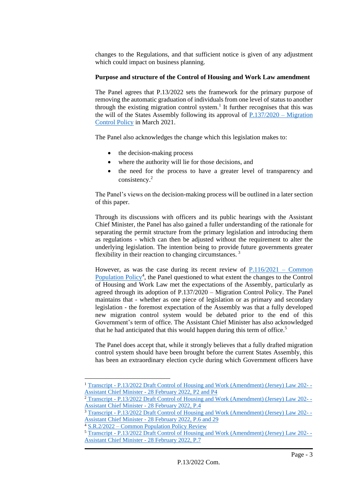changes to the Regulations, and that sufficient notice is given of any adjustment which could impact on business planning.

### **Purpose and structure of the Control of Housing and Work Law amendment**

The Panel agrees that P.13/2022 sets the framework for the primary purpose of removing the automatic graduation of individuals from one level of status to another through the existing migration control system. 1 It further recognises that this was the will of the States Assembly following its approval of [P.137/2020](https://statesassembly.gov.je/Pages/Propositions.aspx?ref=P.137/2020&refurl=%2fPages%2fPropositions.aspx%3fdocumentref%3dP.137%2f2020) – Migration [Control Policy](https://statesassembly.gov.je/Pages/Propositions.aspx?ref=P.137/2020&refurl=%2fPages%2fPropositions.aspx%3fdocumentref%3dP.137%2f2020) in March 2021.

The Panel also acknowledges the change which this legislation makes to:

- the decision-making process
- where the authority will lie for those decisions, and
- the need for the process to have a greater level of transparency and consistency. 2

The Panel's views on the decision-making process will be outlined in a later section of this paper.

Through its discussions with officers and its public hearings with the Assistant Chief Minister, the Panel has also gained a fuller understanding of the rationale for separating the permit structure from the primary legislation and introducing them as regulations - which can then be adjusted without the requirement to alter the underlying legislation. The intention being to provide future governments greater flexibility in their reaction to changing circumstances. <sup>3</sup>

However, as was the case during its recent review of [P.116/2021 –](https://statesassembly.gov.je/Pages/Propositions.aspx?ref=P.116/2021&refurl=%2fPages%2fPropositions.aspx%3fdocumentref%3dP.116%2f2021) Common [Population Policy](https://statesassembly.gov.je/Pages/Propositions.aspx?ref=P.116/2021&refurl=%2fPages%2fPropositions.aspx%3fdocumentref%3dP.116%2f2021)<sup>4</sup>, the Panel questioned to what extent the changes to the Control of Housing and Work Law met the expectations of the Assembly, particularly as agreed through its adoption of P.137/2020 – Migration Control Policy. The Panel maintains that - whether as one piece of legislation or as primary and secondary legislation - the foremost expectation of the Assembly was that a fully developed new migration control system would be debated prior to the end of this Government's term of office. The Assistant Chief Minister has also acknowledged that he had anticipated that this would happen during this term of office.<sup>5</sup>

The Panel does accept that, while it strongly believes that a fully drafted migration control system should have been brought before the current States Assembly, this has been an extraordinary election cycle during which Government officers have

<sup>1</sup> Transcript - [P.13/2022 Draft Control of Housing and Work \(Amendment\) \(Jersey\) Law 202-](https://statesassembly.gov.je/scrutinyreviewtranscripts/2022/transcript%20-%20%20draft%20control%20of%20housing%20and%20work%20(amendment)%20(jersey)%20law%20%20-%20assistant%20chief%20minister%20-%2028%20febuary%202022.pdf#page=2) - Assistant Chief Minister - [28 February 2022, P2 and P4](https://statesassembly.gov.je/scrutinyreviewtranscripts/2022/transcript%20-%20%20draft%20control%20of%20housing%20and%20work%20(amendment)%20(jersey)%20law%20%20-%20assistant%20chief%20minister%20-%2028%20febuary%202022.pdf#page=2)

<sup>&</sup>lt;sup>2</sup> Transcript - [P.13/2022 Draft Control of Housing and Work \(Amendment\) \(Jersey\) Law 202-](https://statesassembly.gov.je/scrutinyreviewtranscripts/2022/transcript%20-%20%20draft%20control%20of%20housing%20and%20work%20(amendment)%20(jersey)%20law%20%20-%20assistant%20chief%20minister%20-%2028%20febuary%202022.pdf#page=4)-[Assistant Chief Minister -](https://statesassembly.gov.je/scrutinyreviewtranscripts/2022/transcript%20-%20%20draft%20control%20of%20housing%20and%20work%20(amendment)%20(jersey)%20law%20%20-%20assistant%20chief%20minister%20-%2028%20febuary%202022.pdf#page=4) 28 February 2022, P.4

<sup>3</sup> Transcript - [P.13/2022 Draft Control of Housing and Work \(Amendment\) \(Jersey\) Law 202-](https://statesassembly.gov.je/scrutinyreviewtranscripts/2022/transcript%20-%20%20draft%20control%20of%20housing%20and%20work%20(amendment)%20(jersey)%20law%20%20-%20assistant%20chief%20minister%20-%2028%20febuary%202022.pdf#page=6) - Assistant Chief Minister - [28 February 2022, P.6 and 29](https://statesassembly.gov.je/scrutinyreviewtranscripts/2022/transcript%20-%20%20draft%20control%20of%20housing%20and%20work%20(amendment)%20(jersey)%20law%20%20-%20assistant%20chief%20minister%20-%2028%20febuary%202022.pdf#page=6)

<sup>4</sup> S.R.2/2022 – [Common Population Policy Review](https://statesassembly.gov.je/ScrutinyReports/2022/S.R.2-2022%20Common%20Population%20Policy%20Review%20FINAL.pdf)

<sup>5</sup> Transcript - [P.13/2022 Draft Control of Housing and Work \(Amendment\) \(Jersey\) Law 202-](https://statesassembly.gov.je/scrutinyreviewtranscripts/2022/transcript%20-%20%20draft%20control%20of%20housing%20and%20work%20(amendment)%20(jersey)%20law%20%20-%20assistant%20chief%20minister%20-%2028%20febuary%202022.pdf#page=7) - [Assistant Chief Minister -](https://statesassembly.gov.je/scrutinyreviewtranscripts/2022/transcript%20-%20%20draft%20control%20of%20housing%20and%20work%20(amendment)%20(jersey)%20law%20%20-%20assistant%20chief%20minister%20-%2028%20febuary%202022.pdf#page=7) 28 February 2022, P.7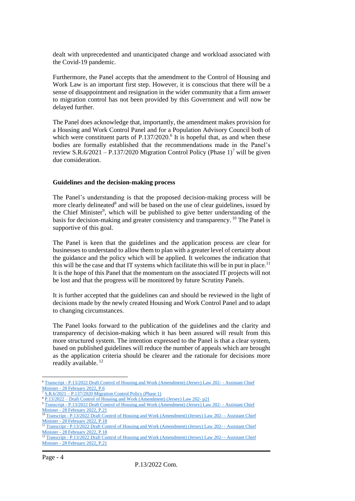dealt with unprecedented and unanticipated change and workload associated with the Covid-19 pandemic.

Furthermore, the Panel accepts that the amendment to the Control of Housing and Work Law is an important first step. However, it is conscious that there will be a sense of disappointment and resignation in the wider community that a firm answer to migration control has not been provided by this Government and will now be delayed further.

The Panel does acknowledge that, importantly, the amendment makes provision for a Housing and Work Control Panel and for a Population Advisory Council both of which were constituent parts of P.137/2020.<sup>6</sup> It is hopeful that, as and when these bodies are formally established that the recommendations made in the Panel's review S.R.6/2021 – P.137/2020 Migration Control Policy (Phase  $1$ )<sup>7</sup> will be given due consideration.

#### **Guidelines and the decision-making process**

The Panel's understanding is that the proposed decision-making process will be more clearly delineated<sup>8</sup> and will be based on the use of clear guidelines, issued by the Chief Minister<sup>9</sup>, which will be published to give better understanding of the basis for decision-making and greater consistency and transparency. <sup>10</sup> The Panel is supportive of this goal.

The Panel is keen that the guidelines and the application process are clear for businesses to understand to allow them to plan with a greater level of certainty about the guidance and the policy which will be applied. It welcomes the indication that this will be the case and that IT systems which facilitate this will be in put in place.<sup>11</sup> It is the hope of this Panel that the momentum on the associated IT projects will not be lost and that the progress will be monitored by future Scrutiny Panels.

It is further accepted that the guidelines can and should be reviewed in the light of decisions made by the newly created Housing and Work Control Panel and to adapt to changing circumstances.

The Panel looks forward to the publication of the guidelines and the clarity and transparency of decision-making which it has been assured will result from this more structured system. The intention expressed to the Panel is that a clear system, based on published guidelines will reduce the number of appeals which are brought as the application criteria should be clearer and the rationale for decisions more readily available.<sup>12</sup>

<sup>&</sup>lt;sup>6</sup> Transcript - [P.13/2022 Draft Control of Housing and Work \(Amendment\) \(Jersey\) Law 202-](https://statesassembly.gov.je/scrutinyreviewtranscripts/2022/transcript%20-%20%20draft%20control%20of%20housing%20and%20work%20(amendment)%20(jersey)%20law%20%20-%20assistant%20chief%20minister%20-%2028%20febuary%202022.pdf#page=6) - Assistant Chief Minister - [28 February 2022, P.6](https://statesassembly.gov.je/scrutinyreviewtranscripts/2022/transcript%20-%20%20draft%20control%20of%20housing%20and%20work%20(amendment)%20(jersey)%20law%20%20-%20assistant%20chief%20minister%20-%2028%20febuary%202022.pdf#page=6)

S.R.6/2021 – [P.137/2020 Migration Control Policy \(Phase 1\)](https://statesassembly.gov.je/ScrutinyReports/2021/Report%20-%20P.137%202020%20Migration%20Control%20Policy%20(Phase%201).pdf)

<sup>8</sup> P.13/2022 – [Draft Control of Housing and Work \(Amendment\) \(Jersey\) Law 202-](https://statesassembly.gov.je/assemblypropositions/2022/p.13-2022%20(re-issue).pdf) p21

<sup>9</sup> Transcript - [P.13/2022 Draft Control of Housing and Work \(Amendment\) \(Jersey\) Law 202-](https://statesassembly.gov.je/scrutinyreviewtranscripts/2022/transcript%20-%20%20draft%20control%20of%20housing%20and%20work%20(amendment)%20(jersey)%20law%20%20-%20assistant%20chief%20minister%20-%2028%20febuary%202022.pdf#page=21) - Assistant Chief Minister - [28 February 2022, P.21](https://statesassembly.gov.je/scrutinyreviewtranscripts/2022/transcript%20-%20%20draft%20control%20of%20housing%20and%20work%20(amendment)%20(jersey)%20law%20%20-%20assistant%20chief%20minister%20-%2028%20febuary%202022.pdf#page=21)

<sup>10</sup> Transcript - [P.13/2022 Draft Control of Housing and Work \(Amendment\) \(Jersey\) Law 202-](https://statesassembly.gov.je/scrutinyreviewtranscripts/2022/transcript%20-%20%20draft%20control%20of%20housing%20and%20work%20(amendment)%20(jersey)%20law%20%20-%20assistant%20chief%20minister%20-%2028%20febuary%202022.pdf#page=18) - Assistant Chief Minister - [28 February 2022, P.18](https://statesassembly.gov.je/scrutinyreviewtranscripts/2022/transcript%20-%20%20draft%20control%20of%20housing%20and%20work%20(amendment)%20(jersey)%20law%20%20-%20assistant%20chief%20minister%20-%2028%20febuary%202022.pdf#page=18)

<sup>&</sup>lt;sup>11</sup> Transcript - [P.13/2022 Draft Control of Housing and Work \(Amendment\) \(Jersey\) Law 202-](https://statesassembly.gov.je/scrutinyreviewtranscripts/2022/transcript%20-%20%20draft%20control%20of%20housing%20and%20work%20(amendment)%20(jersey)%20law%20%20-%20assistant%20chief%20minister%20-%2028%20febuary%202022.pdf#page=18) - Assistant Chief Minister - [28 February 2022, P.18](https://statesassembly.gov.je/scrutinyreviewtranscripts/2022/transcript%20-%20%20draft%20control%20of%20housing%20and%20work%20(amendment)%20(jersey)%20law%20%20-%20assistant%20chief%20minister%20-%2028%20febuary%202022.pdf#page=18)

<sup>&</sup>lt;sup>12</sup> Transcript - [P.13/2022 Draft Control of Housing and Work \(Amendment\) \(Jersey\) Law 202-](https://statesassembly.gov.je/scrutinyreviewtranscripts/2022/transcript%20-%20%20draft%20control%20of%20housing%20and%20work%20(amendment)%20(jersey)%20law%20%20-%20assistant%20chief%20minister%20-%2028%20febuary%202022.pdf#page=21) - Assistant Chief Minister - [28 February 2022, P.21](https://statesassembly.gov.je/scrutinyreviewtranscripts/2022/transcript%20-%20%20draft%20control%20of%20housing%20and%20work%20(amendment)%20(jersey)%20law%20%20-%20assistant%20chief%20minister%20-%2028%20febuary%202022.pdf#page=21)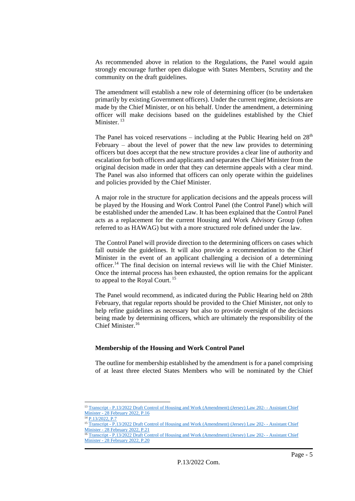As recommended above in relation to the Regulations, the Panel would again strongly encourage further open dialogue with States Members, Scrutiny and the community on the draft guidelines.

The amendment will establish a new role of determining officer (to be undertaken primarily by existing Government officers). Under the current regime, decisions are made by the Chief Minister, or on his behalf. Under the amendment, a determining officer will make decisions based on the guidelines established by the Chief Minister.  $13$ 

The Panel has voiced reservations – including at the Public Hearing held on  $28<sup>th</sup>$ February – about the level of power that the new law provides to determining officers but does accept that the new structure provides a clear line of authority and escalation for both officers and applicants and separates the Chief Minister from the original decision made in order that they can determine appeals with a clear mind. The Panel was also informed that officers can only operate within the guidelines and policies provided by the Chief Minister.

A major role in the structure for application decisions and the appeals process will be played by the Housing and Work Control Panel (the Control Panel) which will be established under the amended Law. It has been explained that the Control Panel acts as a replacement for the current Housing and Work Advisory Group (often referred to as HAWAG) but with a more structured role defined under the law.

The Control Panel will provide direction to the determining officers on cases which fall outside the guidelines. It will also provide a recommendation to the Chief Minister in the event of an applicant challenging a decision of a determining officer.<sup>14</sup> The final decision on internal reviews will lie with the Chief Minister. Once the internal process has been exhausted, the option remains for the applicant to appeal to the Royal Court.<sup>15</sup>

The Panel would recommend, as indicated during the Public Hearing held on 28th February, that regular reports should be provided to the Chief Minister, not only to help refine guidelines as necessary but also to provide oversight of the decisions being made by determining officers, which are ultimately the responsibility of the Chief Minister.<sup>16</sup>

#### **Membership of the Housing and Work Control Panel**

The outline for membership established by the amendment is for a panel comprising of at least three elected States Members who will be nominated by the Chief

<sup>&</sup>lt;sup>13</sup> Transcript - [P.13/2022 Draft Control of Housing and Work \(Amendment\) \(Jersey\) Law 202-](https://statesassembly.gov.je/scrutinyreviewtranscripts/2022/transcript%20-%20%20draft%20control%20of%20housing%20and%20work%20(amendment)%20(jersey)%20law%20%20-%20assistant%20chief%20minister%20-%2028%20febuary%202022.pdf#page=16) - Assistant Chief Minister - [28 February 2022, P.16](https://statesassembly.gov.je/scrutinyreviewtranscripts/2022/transcript%20-%20%20draft%20control%20of%20housing%20and%20work%20(amendment)%20(jersey)%20law%20%20-%20assistant%20chief%20minister%20-%2028%20febuary%202022.pdf#page=16)

[P.13/2022, P.7](https://statesassembly.gov.je/assemblypropositions/2022/p.13-2022%20(re-issue).pdf) 15 Transcript - P.13/2022 Dr<u>aft Control of Housing and Work (Amendment) (Jersey) Law 202- - Assistant Chief</u> Minister - [28 February 2022, P.21](https://statesassembly.gov.je/scrutinyreviewtranscripts/2022/transcript%20-%20%20draft%20control%20of%20housing%20and%20work%20(amendment)%20(jersey)%20law%20%20-%20assistant%20chief%20minister%20-%2028%20febuary%202022.pdf#page=21)

<sup>&</sup>lt;sup>16</sup> Transcript - [P.13/2022 Draft Control of Housing and Work \(Amendment\) \(Jersey\) Law 202-](https://statesassembly.gov.je/scrutinyreviewtranscripts/2022/transcript%20-%20%20draft%20control%20of%20housing%20and%20work%20(amendment)%20(jersey)%20law%20%20-%20assistant%20chief%20minister%20-%2028%20febuary%202022.pdf#page=20) - Assistant Chief Minister - [28 February 2022, P.20](https://statesassembly.gov.je/scrutinyreviewtranscripts/2022/transcript%20-%20%20draft%20control%20of%20housing%20and%20work%20(amendment)%20(jersey)%20law%20%20-%20assistant%20chief%20minister%20-%2028%20febuary%202022.pdf#page=20)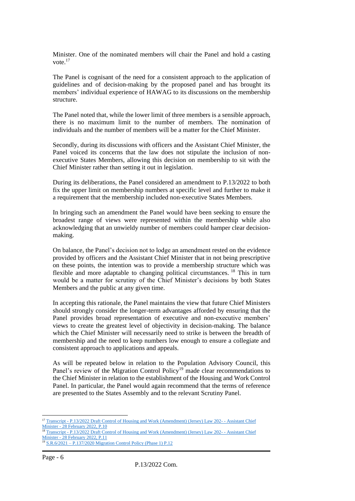Minister. One of the nominated members will chair the Panel and hold a casting vote.<sup>17</sup>

The Panel is cognisant of the need for a consistent approach to the application of guidelines and of decision-making by the proposed panel and has brought its members' individual experience of HAWAG to its discussions on the membership structure.

The Panel noted that, while the lower limit of three members is a sensible approach, there is no maximum limit to the number of members. The nomination of individuals and the number of members will be a matter for the Chief Minister.

Secondly, during its discussions with officers and the Assistant Chief Minister, the Panel voiced its concerns that the law does not stipulate the inclusion of nonexecutive States Members, allowing this decision on membership to sit with the Chief Minister rather than setting it out in legislation.

During its deliberations, the Panel considered an amendment to P.13/2022 to both fix the upper limit on membership numbers at specific level and further to make it a requirement that the membership included non-executive States Members.

In bringing such an amendment the Panel would have been seeking to ensure the broadest range of views were represented within the membership while also acknowledging that an unwieldy number of members could hamper clear decisionmaking.

On balance, the Panel's decision not to lodge an amendment rested on the evidence provided by officers and the Assistant Chief Minister that in not being prescriptive on these points, the intention was to provide a membership structure which was flexible and more adaptable to changing political circumstances.<sup>18</sup> This in turn would be a matter for scrutiny of the Chief Minister's decisions by both States Members and the public at any given time.

In accepting this rationale, the Panel maintains the view that future Chief Ministers should strongly consider the longer-term advantages afforded by ensuring that the Panel provides broad representation of executive and non-executive members' views to create the greatest level of objectivity in decision-making. The balance which the Chief Minister will necessarily need to strike is between the breadth of membership and the need to keep numbers low enough to ensure a collegiate and consistent approach to applications and appeals.

As will be repeated below in relation to the Population Advisory Council, this Panel's review of the Migration Control Policy<sup>19</sup> made clear recommendations to the Chief Minister in relation to the establishment of the Housing and Work Control Panel. In particular, the Panel would again recommend that the terms of reference are presented to the States Assembly and to the relevant Scrutiny Panel.

<sup>17</sup> Transcript - [P.13/2022 Draft Control of Housing and Work \(Amendment\) \(Jersey\) Law 202-](https://statesassembly.gov.je/scrutinyreviewtranscripts/2022/transcript%20-%20%20draft%20control%20of%20housing%20and%20work%20(amendment)%20(jersey)%20law%20%20-%20assistant%20chief%20minister%20-%2028%20febuary%202022.pdf#page=10) - Assistant Chief  $\frac{\text{Minister - 28 February 2022 Draft Con}}{18 \text{ Transport} + 28 \text{ February 2022, P.10}}$ 

<sup>18</sup> Transcript - [P.13/2022 Draft Control of Housing and Work \(Amendment\) \(Jersey\) Law 202-](https://statesassembly.gov.je/scrutinyreviewtranscripts/2022/transcript%20-%20%20draft%20control%20of%20housing%20and%20work%20(amendment)%20(jersey)%20law%20%20-%20assistant%20chief%20minister%20-%2028%20febuary%202022.pdf#page=11) - Assistant Chief Minister - [28 February 2022, P.11](https://statesassembly.gov.je/scrutinyreviewtranscripts/2022/transcript%20-%20%20draft%20control%20of%20housing%20and%20work%20(amendment)%20(jersey)%20law%20%20-%20assistant%20chief%20minister%20-%2028%20febuary%202022.pdf#page=11)

<sup>19</sup> S.R.6/2021 – [P.137/2020 Migration Control Policy \(Phase 1\)](https://statesassembly.gov.je/ScrutinyReports/2021/Report%20-%20P.137%202020%20Migration%20Control%20Policy%20(Phase%201).pdf) P.12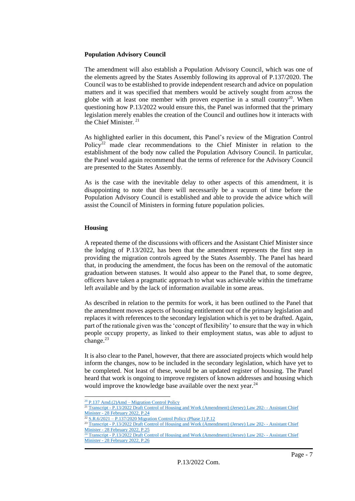#### **Population Advisory Council**

The amendment will also establish a Population Advisory Council, which was one of the elements agreed by the States Assembly following its approval of P.137/2020. The Council was to be established to provide independent research and advice on population matters and it was specified that members would be actively sought from across the globe with at least one member with proven expertise in a small country<sup>20</sup>. When questioning how P.13/2022 would ensure this, the Panel was informed that the primary legislation merely enables the creation of the Council and outlines how it interacts with the Chief Minister.<sup>21</sup>

As highlighted earlier in this document, this Panel's review of the Migration Control Policy<sup>22</sup> made clear recommendations to the Chief Minister in relation to the establishment of the body now called the Population Advisory Council. In particular, the Panel would again recommend that the terms of reference for the Advisory Council are presented to the States Assembly.

As is the case with the inevitable delay to other aspects of this amendment, it is disappointing to note that there will necessarily be a vacuum of time before the Population Advisory Council is established and able to provide the advice which will assist the Council of Ministers in forming future population policies.

#### **Housing**

A repeated theme of the discussions with officers and the Assistant Chief Minister since the lodging of P.13/2022, has been that the amendment represents the first step in providing the migration controls agreed by the States Assembly. The Panel has heard that, in producing the amendment, the focus has been on the removal of the automatic graduation between statuses. It would also appear to the Panel that, to some degree, officers have taken a pragmatic approach to what was achievable within the timeframe left available and by the lack of information available in some areas.

As described in relation to the permits for work, it has been outlined to the Panel that the amendment moves aspects of housing entitlement out of the primary legislation and replaces it with references to the secondary legislation which is yet to be drafted. Again, part of the rationale given was the 'concept of flexibility' to ensure that the way in which people occupy property, as linked to their employment status, was able to adjust to change. $^{23}$ 

It is also clear to the Panel, however, that there are associated projects which would help inform the changes, now to be included in the secondary legislation, which have yet to be completed. Not least of these, would be an updated register of housing. The Panel heard that work is ongoing to improve registers of known addresses and housing which would improve the knowledge base available over the next year.<sup>24</sup>

 $20$  P.137 Amd.(2)Amd – [Migration Control Policy](https://statesassembly.gov.je/assemblypropositions/2020/p.137-2020%20amd(2)amd.pdf)

<sup>&</sup>lt;sup>21</sup> Transcript - [P.13/2022 Draft Control of Housing and Work \(Amendment\) \(Jersey\) Law 202-](https://statesassembly.gov.je/scrutinyreviewtranscripts/2022/transcript%20-%20%20draft%20control%20of%20housing%20and%20work%20(amendment)%20(jersey)%20law%20%20-%20assistant%20chief%20minister%20-%2028%20febuary%202022.pdf#page=24) - Assistant Chief Minister - [28 February 2022, P.24](https://statesassembly.gov.je/scrutinyreviewtranscripts/2022/transcript%20-%20%20draft%20control%20of%20housing%20and%20work%20(amendment)%20(jersey)%20law%20%20-%20assistant%20chief%20minister%20-%2028%20febuary%202022.pdf#page=24)

<sup>22</sup> S.R.6/2021 – [P.137/2020 Migration Control Policy \(Phase 1\)](https://statesassembly.gov.je/ScrutinyReports/2021/Report%20-%20P.137%202020%20Migration%20Control%20Policy%20(Phase%201).pdf) P.12

<sup>&</sup>lt;sup>23</sup> Transcript - P.13/2022 Dr<u>aft Control of Housing and Work (Amendment) (Jersey) Law 202- - Assistant Chief</u> Minister - [28 February 2022, P.25](https://statesassembly.gov.je/scrutinyreviewtranscripts/2022/transcript%20-%20%20draft%20control%20of%20housing%20and%20work%20(amendment)%20(jersey)%20law%20%20-%20assistant%20chief%20minister%20-%2028%20febuary%202022.pdf#page=25)

<sup>&</sup>lt;sup>24</sup> Transcript - [P.13/2022 Draft Control of Housing and Work \(Amendment\) \(Jersey\) Law 202-](https://statesassembly.gov.je/scrutinyreviewtranscripts/2022/transcript%20-%20%20draft%20control%20of%20housing%20and%20work%20(amendment)%20(jersey)%20law%20%20-%20assistant%20chief%20minister%20-%2028%20febuary%202022.pdf#page=20) - Assistant Chief Minister - [28 February 2022, P.26](https://statesassembly.gov.je/scrutinyreviewtranscripts/2022/transcript%20-%20%20draft%20control%20of%20housing%20and%20work%20(amendment)%20(jersey)%20law%20%20-%20assistant%20chief%20minister%20-%2028%20febuary%202022.pdf#page=20)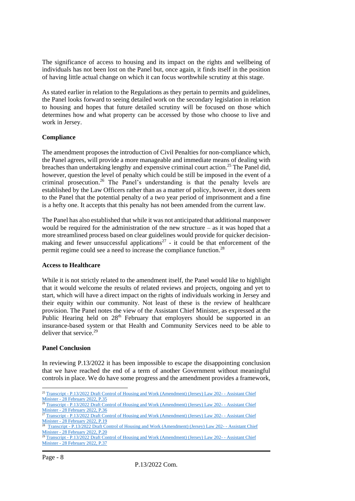The significance of access to housing and its impact on the rights and wellbeing of individuals has not been lost on the Panel but, once again, it finds itself in the position of having little actual change on which it can focus worthwhile scrutiny at this stage.

As stated earlier in relation to the Regulations as they pertain to permits and guidelines, the Panel looks forward to seeing detailed work on the secondary legislation in relation to housing and hopes that future detailed scrutiny will be focused on those which determines how and what property can be accessed by those who choose to live and work in Jersey.

# **Compliance**

The amendment proposes the introduction of Civil Penalties for non-compliance which, the Panel agrees, will provide a more manageable and immediate means of dealing with breaches than undertaking lengthy and expensive criminal court action.<sup>25</sup> The Panel did, however, question the level of penalty which could be still be imposed in the event of a criminal prosecution. <sup>26</sup> The Panel's understanding is that the penalty levels are established by the Law Officers rather than as a matter of policy, however, it does seem to the Panel that the potential penalty of a two year period of imprisonment and a fine is a hefty one. It accepts that this penalty has not been amended from the current law.

The Panel has also established that while it was not anticipated that additional manpower would be required for the administration of the new structure – as it was hoped that a more streamlined process based on clear guidelines would provide for quicker decisionmaking and fewer unsuccessful applications<sup>27</sup> - it could be that enforcement of the permit regime could see a need to increase the compliance function.<sup>28</sup>

# **Access to Healthcare**

While it is not strictly related to the amendment itself, the Panel would like to highlight that it would welcome the results of related reviews and projects, ongoing and yet to start, which will have a direct impact on the rights of individuals working in Jersey and their equity within our community. Not least of these is the review of healthcare provision. The Panel notes the view of the Assistant Chief Minister, as expressed at the Public Hearing held on  $28<sup>th</sup>$  February that employers should be supported in an insurance-based system or that Health and Community Services need to be able to deliver that service.<sup>29</sup>

# **Panel Conclusion**

In reviewing P.13/2022 it has been impossible to escape the disappointing conclusion that we have reached the end of a term of another Government without meaningful controls in place. We do have some progress and the amendment provides a framework,

<sup>&</sup>lt;sup>25</sup> Transcript - [P.13/2022 Draft Control of Housing and Work \(Amendment\) \(Jersey\) Law 202-](https://statesassembly.gov.je/scrutinyreviewtranscripts/2022/transcript%20-%20%20draft%20control%20of%20housing%20and%20work%20(amendment)%20(jersey)%20law%20%20-%20assistant%20chief%20minister%20-%2028%20febuary%202022.pdf#page=35) - Assistant Chief Minister - [28 February 2022, P.35](https://statesassembly.gov.je/scrutinyreviewtranscripts/2022/transcript%20-%20%20draft%20control%20of%20housing%20and%20work%20(amendment)%20(jersey)%20law%20%20-%20assistant%20chief%20minister%20-%2028%20febuary%202022.pdf#page=35)

<sup>26</sup> Transcript - [P.13/2022 Draft Control of Housing and Work \(Amendment\) \(Jersey\) Law 202-](https://statesassembly.gov.je/scrutinyreviewtranscripts/2022/transcript%20-%20%20draft%20control%20of%20housing%20and%20work%20(amendment)%20(jersey)%20law%20%20-%20assistant%20chief%20minister%20-%2028%20febuary%202022.pdf#page=36) - Assistant Chief Minister - [28 February 2022, P.36](https://statesassembly.gov.je/scrutinyreviewtranscripts/2022/transcript%20-%20%20draft%20control%20of%20housing%20and%20work%20(amendment)%20(jersey)%20law%20%20-%20assistant%20chief%20minister%20-%2028%20febuary%202022.pdf#page=36)

<sup>&</sup>lt;sup>27</sup> Transcript - [P.13/2022 Draft Control of Housing and Work \(Amendment\) \(Jersey\) Law 202-](https://statesassembly.gov.je/scrutinyreviewtranscripts/2022/transcript%20-%20%20draft%20control%20of%20housing%20and%20work%20(amendment)%20(jersey)%20law%20%20-%20assistant%20chief%20minister%20-%2028%20febuary%202022.pdf#page=19) - Assistant Chief Minister - [28 February 2022, P.19](https://statesassembly.gov.je/scrutinyreviewtranscripts/2022/transcript%20-%20%20draft%20control%20of%20housing%20and%20work%20(amendment)%20(jersey)%20law%20%20-%20assistant%20chief%20minister%20-%2028%20febuary%202022.pdf#page=19)

<sup>&</sup>lt;sup>28</sup> Transcript - [P.13/2022 Draft Control of Housing and Work \(Amendment\) \(Jersey\) Law 202-](https://statesassembly.gov.je/scrutinyreviewtranscripts/2022/transcript%20-%20%20draft%20control%20of%20housing%20and%20work%20(amendment)%20(jersey)%20law%20%20-%20assistant%20chief%20minister%20-%2028%20febuary%202022.pdf#page=20) - Assistant Chief Minister - [28 February 2022, P.20](https://statesassembly.gov.je/scrutinyreviewtranscripts/2022/transcript%20-%20%20draft%20control%20of%20housing%20and%20work%20(amendment)%20(jersey)%20law%20%20-%20assistant%20chief%20minister%20-%2028%20febuary%202022.pdf#page=20)

<sup>29</sup> Transcript - [P.13/2022 Draft Control of Housing and Work \(Amendment\) \(Jersey\) Law 202-](https://statesassembly.gov.je/scrutinyreviewtranscripts/2022/transcript%20-%20%20draft%20control%20of%20housing%20and%20work%20(amendment)%20(jersey)%20law%20%20-%20assistant%20chief%20minister%20-%2028%20febuary%202022.pdf#page=37) - Assistant Chief Minister - [28 February 2022, P.37](https://statesassembly.gov.je/scrutinyreviewtranscripts/2022/transcript%20-%20%20draft%20control%20of%20housing%20and%20work%20(amendment)%20(jersey)%20law%20%20-%20assistant%20chief%20minister%20-%2028%20febuary%202022.pdf#page=37)